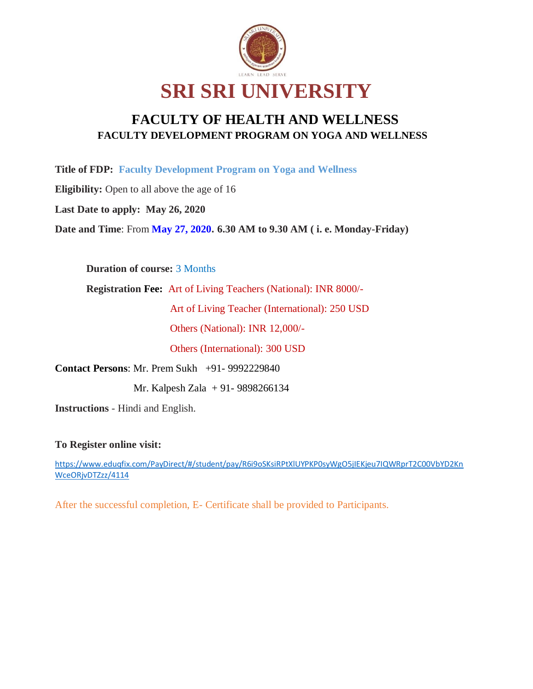

## **FACULTY OF HEALTH AND WELLNESS FACULTY DEVELOPMENT PROGRAM ON YOGA AND WELLNESS**

**Title of FDP: Faculty Development Program on Yoga and Wellness**

**Eligibility:** Open to all above the age of 16

**Last Date to apply: May 26, 2020**

**Date and Time**: From **May 27, 2020. 6.30 AM to 9.30 AM ( i. e. Monday-Friday)**

**Duration of course:** 3 Months

**Registration Fee:** Art of Living Teachers (National): INR 8000/-

Art of Living Teacher (International): 250 USD

Others (National): INR 12,000/-

Others (International): 300 USD

**Contact Persons**: Mr. Prem Sukh +91- 9992229840

Mr. Kalpesh Zala + 91- 9898266134

**Instructions** - Hindi and English.

**To Register online visit:**

[https://www.eduqfix.com/PayDirect/#/student/pay/R6i9oSKsiRPtXlUYPKP0syWgO5jIEKjeu7IQWRprT2C00VbYD2Kn](https://www.eduqfix.com/PayDirect/#/student/pay/R6i9oSKsiRPtXlUYPKP0syWgO5jIEKjeu7IQWRprT2C00VbYD2KnWceORjvDTZzz/4114) [WceORjvDTZzz/4114](https://www.eduqfix.com/PayDirect/#/student/pay/R6i9oSKsiRPtXlUYPKP0syWgO5jIEKjeu7IQWRprT2C00VbYD2KnWceORjvDTZzz/4114)

After the successful completion, E- Certificate shall be provided to Participants.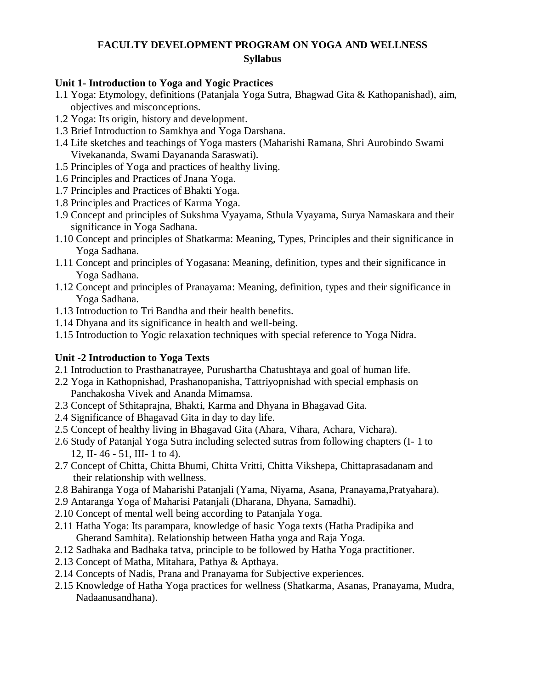## **FACULTY DEVELOPMENT PROGRAM ON YOGA AND WELLNESS Syllabus**

#### **Unit 1- Introduction to Yoga and Yogic Practices**

- 1.1 Yoga: Etymology, definitions (Patanjala Yoga Sutra, Bhagwad Gita & Kathopanishad), aim, objectives and misconceptions.
- 1.2 Yoga: Its origin, history and development.
- 1.3 Brief Introduction to Samkhya and Yoga Darshana.
- 1.4 Life sketches and teachings of Yoga masters (Maharishi Ramana, Shri Aurobindo Swami Vivekananda, Swami Dayananda Saraswati).
- 1.5 Principles of Yoga and practices of healthy living.
- 1.6 Principles and Practices of Jnana Yoga.
- 1.7 Principles and Practices of Bhakti Yoga.
- 1.8 Principles and Practices of Karma Yoga.
- 1.9 Concept and principles of Sukshma Vyayama, Sthula Vyayama, Surya Namaskara and their significance in Yoga Sadhana.
- 1.10 Concept and principles of Shatkarma: Meaning, Types, Principles and their significance in Yoga Sadhana.
- 1.11 Concept and principles of Yogasana: Meaning, definition, types and their significance in Yoga Sadhana.
- 1.12 Concept and principles of Pranayama: Meaning, definition, types and their significance in Yoga Sadhana.
- 1.13 Introduction to Tri Bandha and their health benefits.
- 1.14 Dhyana and its significance in health and well-being.
- 1.15 Introduction to Yogic relaxation techniques with special reference to Yoga Nidra.

#### **Unit -2 Introduction to Yoga Texts**

- 2.1 Introduction to Prasthanatrayee, Purushartha Chatushtaya and goal of human life.
- 2.2 Yoga in Kathopnishad, Prashanopanisha, Tattriyopnishad with special emphasis on Panchakosha Vivek and Ananda Mimamsa.
- 2.3 Concept of Sthitaprajna, Bhakti, Karma and Dhyana in Bhagavad Gita.
- 2.4 Significance of Bhagavad Gita in day to day life.
- 2.5 Concept of healthy living in Bhagavad Gita (Ahara, Vihara, Achara, Vichara).
- 2.6 Study of Patanjal Yoga Sutra including selected sutras from following chapters (I- 1 to 12, II- 46 - 51, III- 1 to 4).
- 2.7 Concept of Chitta, Chitta Bhumi, Chitta Vritti, Chitta Vikshepa, Chittaprasadanam and their relationship with wellness.
- 2.8 Bahiranga Yoga of Maharishi Patanjali (Yama, Niyama, Asana, Pranayama,Pratyahara).
- 2.9 Antaranga Yoga of Maharisi Patanjali (Dharana, Dhyana, Samadhi).
- 2.10 Concept of mental well being according to Patanjala Yoga.
- 2.11 Hatha Yoga: Its parampara, knowledge of basic Yoga texts (Hatha Pradipika and Gherand Samhita). Relationship between Hatha yoga and Raja Yoga.
- 2.12 Sadhaka and Badhaka tatva, principle to be followed by Hatha Yoga practitioner.
- 2.13 Concept of Matha, Mitahara, Pathya & Apthaya.
- 2.14 Concepts of Nadis, Prana and Pranayama for Subjective experiences.
- 2.15 Knowledge of Hatha Yoga practices for wellness (Shatkarma, Asanas, Pranayama, Mudra, Nadaanusandhana).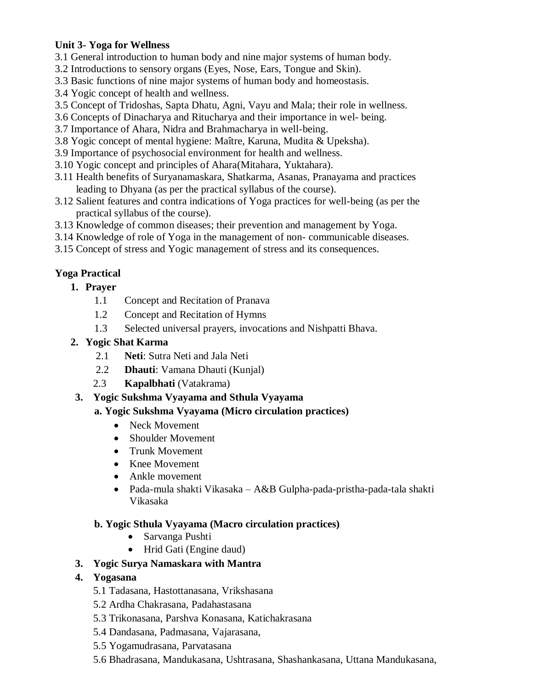#### **Unit 3- Yoga for Wellness**

- 3.1 General introduction to human body and nine major systems of human body.
- 3.2 Introductions to sensory organs (Eyes, Nose, Ears, Tongue and Skin).
- 3.3 Basic functions of nine major systems of human body and homeostasis.
- 3.4 Yogic concept of health and wellness.
- 3.5 Concept of Tridoshas, Sapta Dhatu, Agni, Vayu and Mala; their role in wellness.
- 3.6 Concepts of Dinacharya and Ritucharya and their importance in wel- being.
- 3.7 Importance of Ahara, Nidra and Brahmacharya in well-being.
- 3.8 Yogic concept of mental hygiene: Maître, Karuna, Mudita & Upeksha).
- 3.9 Importance of psychosocial environment for health and wellness.
- 3.10 Yogic concept and principles of Ahara(Mitahara, Yuktahara).
- 3.11 Health benefits of Suryanamaskara, Shatkarma, Asanas, Pranayama and practices leading to Dhyana (as per the practical syllabus of the course).
- 3.12 Salient features and contra indications of Yoga practices for well-being (as per the practical syllabus of the course).
- 3.13 Knowledge of common diseases; their prevention and management by Yoga.
- 3.14 Knowledge of role of Yoga in the management of non- communicable diseases.
- 3.15 Concept of stress and Yogic management of stress and its consequences.

## **Yoga Practical**

- **1. Prayer**
	- 1.1 Concept and Recitation of Pranava
	- 1.2 Concept and Recitation of Hymns
	- 1.3 Selected universal prayers, invocations and Nishpatti Bhava.

#### **2. Yogic Shat Karma**

- 2.1 **Neti**: Sutra Neti and Jala Neti
- 2.2 **Dhauti**: Vamana Dhauti (Kunjal)
- 2.3 **Kapalbhati** (Vatakrama)

## **3. Yogic Sukshma Vyayama and Sthula Vyayama**

## **a. Yogic Sukshma Vyayama (Micro circulation practices)**

- Neck Movement
- Shoulder Movement
- Trunk Movement
- Knee Movement
- Ankle movement
- Pada-mula shakti Vikasaka A&B Gulpha-pada-pristha-pada-tala shakti Vikasaka

#### **b. Yogic Sthula Vyayama (Macro circulation practices)**

- Sarvanga Pushti
- Hrid Gati (Engine daud)

## **3. Yogic Surya Namaskara with Mantra**

## **4. Yogasana**

- 5.1 Tadasana, Hastottanasana, Vrikshasana
- 5.2 Ardha Chakrasana, Padahastasana
- 5.3 Trikonasana, Parshva Konasana, Katichakrasana
- 5.4 Dandasana, Padmasana, Vajarasana,
- 5.5 Yogamudrasana, Parvatasana
- 5.6 Bhadrasana, Mandukasana, Ushtrasana, Shashankasana, Uttana Mandukasana,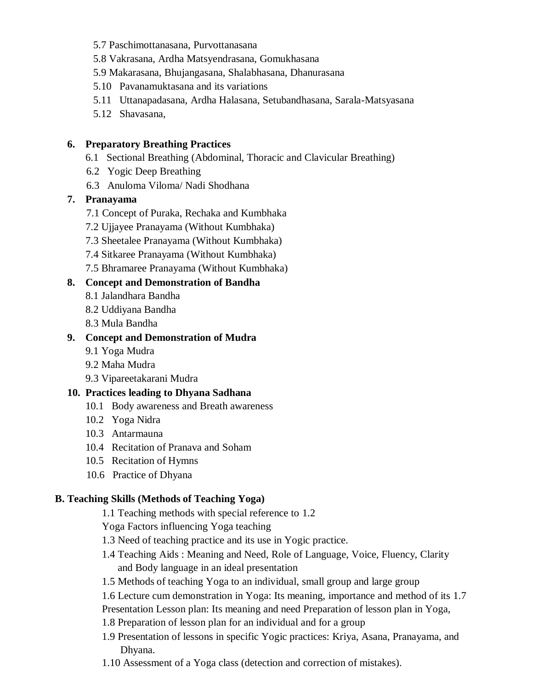- 5.7 Paschimottanasana, Purvottanasana
- 5.8 Vakrasana, Ardha Matsyendrasana, Gomukhasana
- 5.9 Makarasana, Bhujangasana, Shalabhasana, Dhanurasana
- 5.10 Pavanamuktasana and its variations
- 5.11 Uttanapadasana, Ardha Halasana, Setubandhasana, Sarala-Matsyasana
- 5.12 Shavasana,

#### **6. Preparatory Breathing Practices**

- 6.1 Sectional Breathing (Abdominal, Thoracic and Clavicular Breathing)
- 6.2 Yogic Deep Breathing
- 6.3 Anuloma Viloma/ Nadi Shodhana

#### **7. Pranayama**

- 7.1 Concept of Puraka, Rechaka and Kumbhaka
- 7.2 Ujjayee Pranayama (Without Kumbhaka)
- 7.3 Sheetalee Pranayama (Without Kumbhaka)
- 7.4 Sitkaree Pranayama (Without Kumbhaka)
- 7.5 Bhramaree Pranayama (Without Kumbhaka)

#### **8. Concept and Demonstration of Bandha**

- 8.1 Jalandhara Bandha
- 8.2 Uddiyana Bandha
- 8.3 Mula Bandha

#### **9. Concept and Demonstration of Mudra**

- 9.1 Yoga Mudra
- 9.2 Maha Mudra
- 9.3 Vipareetakarani Mudra

#### **10. Practices leading to Dhyana Sadhana**

- 10.1 Body awareness and Breath awareness
- 10.2 Yoga Nidra
- 10.3 Antarmauna
- 10.4 Recitation of Pranava and Soham
- 10.5 Recitation of Hymns
- 10.6 Practice of Dhyana

#### **B. Teaching Skills (Methods of Teaching Yoga)**

1.1 Teaching methods with special reference to 1.2

Yoga Factors influencing Yoga teaching

- 1.3 Need of teaching practice and its use in Yogic practice.
- 1.4 Teaching Aids : Meaning and Need, Role of Language, Voice, Fluency, Clarity and Body language in an ideal presentation
- 1.5 Methods of teaching Yoga to an individual, small group and large group

1.6 Lecture cum demonstration in Yoga: Its meaning, importance and method of its 1.7

Presentation Lesson plan: Its meaning and need Preparation of lesson plan in Yoga,

- 1.8 Preparation of lesson plan for an individual and for a group
- 1.9 Presentation of lessons in specific Yogic practices: Kriya, Asana, Pranayama, and Dhyana.
- 1.10 Assessment of a Yoga class (detection and correction of mistakes).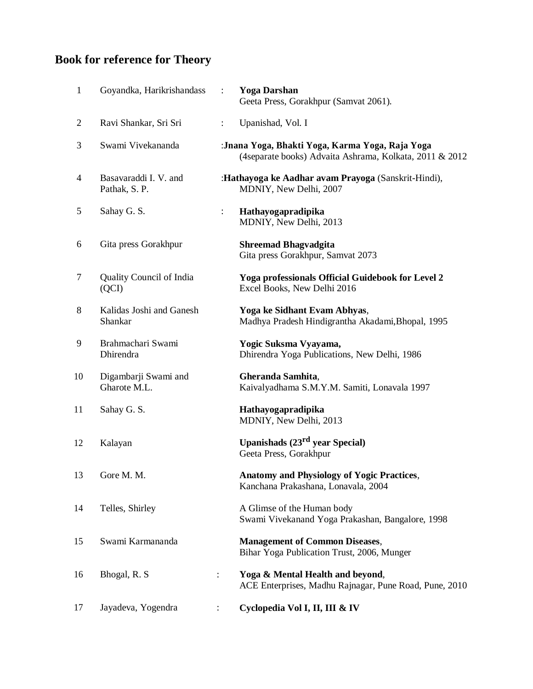# **Book for reference for Theory**

| 1                        | Goyandka, Harikrishandass              | $\ddot{\phantom{0}}$ | <b>Yoga Darshan</b><br>Geeta Press, Gorakhpur (Samvat 2061).                                               |
|--------------------------|----------------------------------------|----------------------|------------------------------------------------------------------------------------------------------------|
| $\overline{c}$           | Ravi Shankar, Sri Sri                  | $\ddot{\cdot}$       | Upanishad, Vol. I                                                                                          |
| 3                        | Swami Vivekananda                      |                      | :Jnana Yoga, Bhakti Yoga, Karma Yoga, Raja Yoga<br>(4separate books) Advaita Ashrama, Kolkata, 2011 & 2012 |
| $\overline{\mathcal{A}}$ | Basavaraddi I. V. and<br>Pathak, S. P. |                      | :Hathayoga ke Aadhar avam Prayoga (Sanskrit-Hindi),<br>MDNIY, New Delhi, 2007                              |
| 5                        | Sahay G. S.                            | $\ddot{\cdot}$       | Hathayogapradipika<br>MDNIY, New Delhi, 2013                                                               |
| 6                        | Gita press Gorakhpur                   |                      | <b>Shreemad Bhagvadgita</b><br>Gita press Gorakhpur, Samvat 2073                                           |
| 7                        | Quality Council of India<br>(QCI)      |                      | Yoga professionals Official Guidebook for Level 2<br>Excel Books, New Delhi 2016                           |
| $\,8\,$                  | Kalidas Joshi and Ganesh<br>Shankar    |                      | Yoga ke Sidhant Evam Abhyas,<br>Madhya Pradesh Hindigrantha Akadami, Bhopal, 1995                          |
| 9                        | Brahmachari Swami<br>Dhirendra         |                      | Yogic Suksma Vyayama,<br>Dhirendra Yoga Publications, New Delhi, 1986                                      |
| 10                       | Digambarji Swami and<br>Gharote M.L.   |                      | Gheranda Samhita,<br>Kaivalyadhama S.M.Y.M. Samiti, Lonavala 1997                                          |
| 11                       | Sahay G. S.                            |                      | Hathayogapradipika<br>MDNIY, New Delhi, 2013                                                               |
| 12                       | Kalayan                                |                      | Upanishads $(23rd$ year Special)<br>Geeta Press, Gorakhpur                                                 |
| 13                       | Gore M. M.                             |                      | <b>Anatomy and Physiology of Yogic Practices,</b><br>Kanchana Prakashana, Lonavala, 2004                   |
| 14                       | Telles, Shirley                        |                      | A Glimse of the Human body<br>Swami Vivekanand Yoga Prakashan, Bangalore, 1998                             |
| 15                       | Swami Karmananda                       |                      | <b>Management of Common Diseases,</b><br>Bihar Yoga Publication Trust, 2006, Munger                        |
| 16                       | Bhogal, R. S.                          | $\ddot{\cdot}$       | Yoga & Mental Health and beyond,<br>ACE Enterprises, Madhu Rajnagar, Pune Road, Pune, 2010                 |
| 17                       | Jayadeva, Yogendra                     |                      | Cyclopedia Vol I, II, III & IV                                                                             |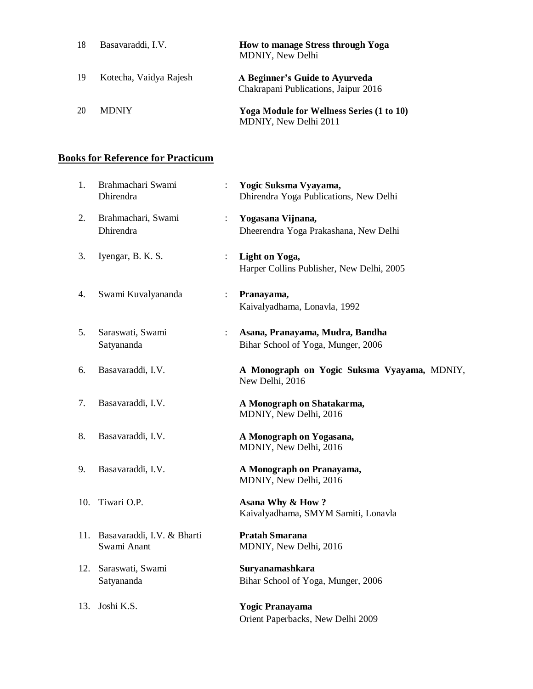| 18 | Basavaraddi, I.V.      | How to manage Stress through Yoga<br><b>MDNIY, New Delhi</b>              |
|----|------------------------|---------------------------------------------------------------------------|
| 19 | Kotecha, Vaidya Rajesh | A Beginner's Guide to Ayurveda<br>Chakrapani Publications, Jaipur 2016    |
| 20 | <b>MDNIY</b>           | <b>Yoga Module for Wellness Series (1 to 10)</b><br>MDNIY, New Delhi 2011 |

## **Books for Reference for Practicum**

| 1.  | Brahmachari Swami<br>Dhirendra                |                      | Yogic Suksma Vyayama,<br>Dhirendra Yoga Publications, New Delhi       |
|-----|-----------------------------------------------|----------------------|-----------------------------------------------------------------------|
| 2.  | Brahmachari, Swami<br>Dhirendra               | $\ddot{\phantom{a}}$ | Yogasana Vijnana,<br>Dheerendra Yoga Prakashana, New Delhi            |
| 3.  | Iyengar, B. K. S.                             | $\ddot{\cdot}$       | Light on Yoga,<br>Harper Collins Publisher, New Delhi, 2005           |
| 4.  | Swami Kuvalyananda                            | $\ddot{\phantom{a}}$ | Pranayama,<br>Kaivalyadhama, Lonavla, 1992                            |
| 5.  | Saraswati, Swami<br>Satyananda                | $\ddot{\phantom{a}}$ | Asana, Pranayama, Mudra, Bandha<br>Bihar School of Yoga, Munger, 2006 |
| 6.  | Basavaraddi, I.V.                             |                      | A Monograph on Yogic Suksma Vyayama, MDNIY,<br>New Delhi, 2016        |
| 7.  | Basavaraddi, I.V.                             |                      | A Monograph on Shatakarma,<br>MDNIY, New Delhi, 2016                  |
| 8.  | Basavaraddi, I.V.                             |                      | A Monograph on Yogasana,<br>MDNIY, New Delhi, 2016                    |
| 9.  | Basavaraddi, I.V.                             |                      | A Monograph on Pranayama,<br>MDNIY, New Delhi, 2016                   |
| 10. | Tiwari O.P.                                   |                      | Asana Why & How?<br>Kaivalyadhama, SMYM Samiti, Lonavla               |
|     | 11. Basavaraddi, I.V. & Bharti<br>Swami Anant |                      | <b>Pratah Smarana</b><br>MDNIY, New Delhi, 2016                       |
| 12. | Saraswati, Swami<br>Satyananda                |                      | Suryanamashkara<br>Bihar School of Yoga, Munger, 2006                 |
| 13. | Joshi K.S.                                    |                      | <b>Yogic Pranayama</b><br>Orient Paperbacks, New Delhi 2009           |